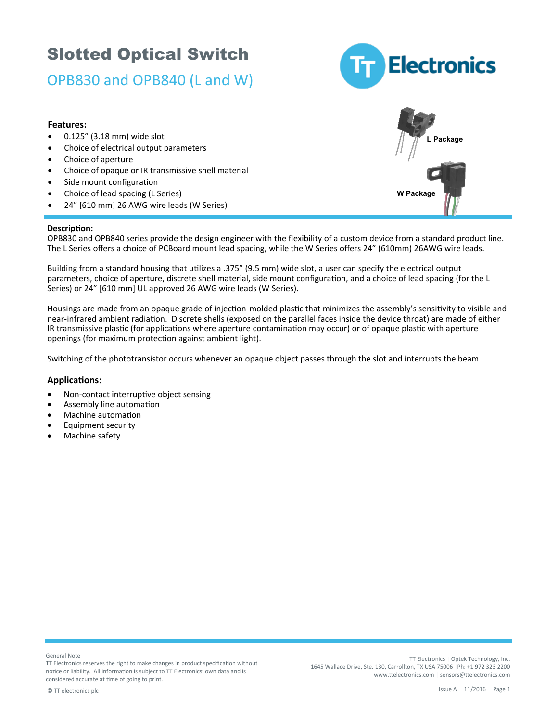### OPB830 and OPB840 (L and W)



**W Package**

**L Package**

#### **Features:**

- 0.125" (3.18 mm) wide slot
- Choice of electrical output parameters
- Choice of aperture
- Choice of opaque or IR transmissive shell material
- Side mount configuration
- Choice of lead spacing (L Series)
- 24" [610 mm] 26 AWG wire leads (W Series)

#### **Description:**

OPB830 and OPB840 series provide the design engineer with the flexibility of a custom device from a standard product line. The L Series offers a choice of PCBoard mount lead spacing, while the W Series offers 24" (610mm) 26AWG wire leads.

Building from a standard housing that utilizes a .375" (9.5 mm) wide slot, a user can specify the electrical output parameters, choice of aperture, discrete shell material, side mount configuration, and a choice of lead spacing (for the L Series) or 24" [610 mm] UL approved 26 AWG wire leads (W Series).

Housings are made from an opaque grade of injection-molded plastic that minimizes the assembly's sensitivity to visible and near-infrared ambient radiation. Discrete shells (exposed on the parallel faces inside the device throat) are made of either IR transmissive plastic (for applications where aperture contamination may occur) or of opaque plastic with aperture openings (for maximum protection against ambient light).

Switching of the phototransistor occurs whenever an opaque object passes through the slot and interrupts the beam.

#### **Applications:**

- Non-contact interruptive object sensing
- Assembly line automation
- Machine automation
- Equipment security
- Machine safety

General Note

TT Electronics reserves the right to make changes in product specification without notice or liability. All information is subject to TT Electronics' own data and is considered accurate at time of going to print.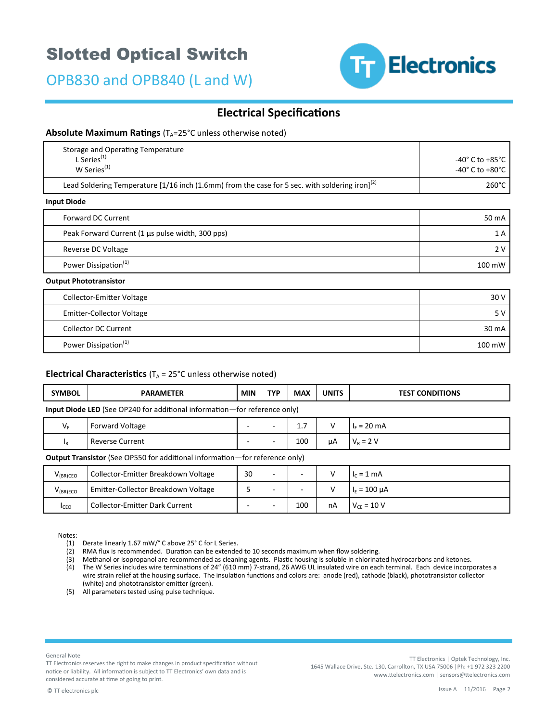OPB830 and OPB840 (L and W)



### **Electrical Specifications**

#### **Absolute Maximum Ratings** (T<sub>A</sub>=25°C unless otherwise noted)

| Storage and Operating Temperature<br>L Series $(1)$<br>W Series <sup>(1)</sup>                             | $-40^{\circ}$ C to $+85^{\circ}$ C<br>$-40^{\circ}$ C to $+80^{\circ}$ C |
|------------------------------------------------------------------------------------------------------------|--------------------------------------------------------------------------|
| Lead Soldering Temperature [1/16 inch (1.6mm) from the case for 5 sec. with soldering iron] <sup>(2)</sup> | $260^{\circ}$ C                                                          |
| Input Diode                                                                                                |                                                                          |
| <b>Forward DC Current</b>                                                                                  | 50 mA                                                                    |
| Peak Forward Current (1 µs pulse width, 300 pps)                                                           | 1A                                                                       |
| Reverse DC Voltage                                                                                         | 2V                                                                       |
| Power Dissipation <sup>(1)</sup>                                                                           | 100 mW                                                                   |
| <b>Output Phototransistor</b>                                                                              |                                                                          |
| <b>Collector-Emitter Voltage</b>                                                                           | 30 V                                                                     |
| Emitter-Collector Voltage                                                                                  | 5V                                                                       |

|                                  | $\sim$ $\sim$ |
|----------------------------------|---------------|
| <b>Collector DC Current</b>      | 30 mA         |
| Power Dissipation <sup>(1)</sup> | 100 mW        |

#### **Electrical Characteristics**  $(T_A = 25^{\circ}C \text{ unless otherwise noted})$

| <b>SYMBOL</b>                                                                    | <b>PARAMETER</b>       | MIN | <b>TYP</b> | <b>MAX</b> | <b>UNITS</b> | <b>TEST CONDITIONS</b> |  |  |
|----------------------------------------------------------------------------------|------------------------|-----|------------|------------|--------------|------------------------|--|--|
| <b>Input Diode LED</b> (See OP240 for additional information—for reference only) |                        |     |            |            |              |                        |  |  |
| $V_F$                                                                            | <b>Forward Voltage</b> | -   |            | 1.7        |              | $I_F = 20 \text{ mA}$  |  |  |
| 1 <sub>R</sub>                                                                   | <b>Reverse Current</b> |     |            | 100        | μA           | $V_R = 2 V$            |  |  |

#### **Output Transistor** (See OP550 for additional information—for reference only)

| $V_{(BR)CEO}$ | Collector-Emitter Breakdown Voltage   | 30     |                          |     |    | $I_c = 1$ mA      |
|---------------|---------------------------------------|--------|--------------------------|-----|----|-------------------|
| $V_{(BR)ECO}$ | Emitter-Collector Breakdown Voltage   | -<br>ے |                          |     |    | $I_F = 100 \mu A$ |
| <b>I</b> CEO  | <b>Collector-Emitter Dark Current</b> |        | $\overline{\phantom{a}}$ | 100 | nA | $V_{CF} = 10 V$   |

Notes:

(1) Derate linearly 1.67 mW/° C above 25° C for L Series.

(2) RMA flux is recommended. Duration can be extended to 10 seconds maximum when flow soldering.

(3) Methanol or isopropanol are recommended as cleaning agents. Plastic housing is soluble in chlorinated hydrocarbons and ketones.

- (4) The W Series includes wire terminations of 24" (610 mm) 7-strand, 26 AWG UL insulated wire on each terminal. Each device incorporates a wire strain relief at the housing surface. The insulation functions and colors are: anode (red), cathode (black), phototransistor collector (white) and phototransistor emitter (green).
- (5) All parameters tested using pulse technique.

General Note

TT Electronics reserves the right to make changes in product specification without notice or liability. All information is subject to TT Electronics' own data and is considered accurate at time of going to print.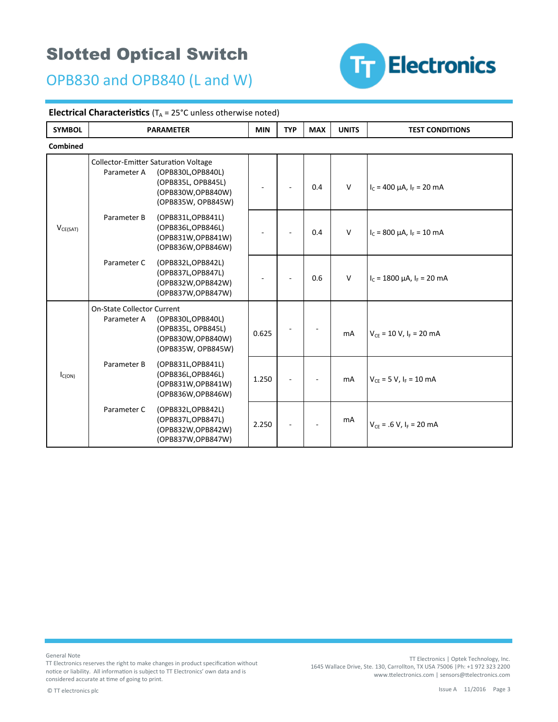OPB830 and OPB840 (L and W)



#### **Electrical Characteristics** ( $T_A = 25^{\circ}$ C unless otherwise noted)

| <b>SYMBOL</b> |                                                            | <b>PARAMETER</b>                                                                     | <b>MIN</b> | <b>TYP</b> | <b>MAX</b> | <b>UNITS</b> | <b>TEST CONDITIONS</b>                |  |
|---------------|------------------------------------------------------------|--------------------------------------------------------------------------------------|------------|------------|------------|--------------|---------------------------------------|--|
| Combined      |                                                            |                                                                                      |            |            |            |              |                                       |  |
|               | <b>Collector-Emitter Saturation Voltage</b><br>Parameter A | (OPB830L, OPB840L)<br>(OPB835L, OPB845L)<br>(OPB830W,OPB840W)<br>(OPB835W, OPB845W)  |            |            | 0.4        | $\mathsf{V}$ | $I_c = 400 \mu A$ , $I_F = 20 \mu A$  |  |
| $V_{CE(SAT)}$ | Parameter B                                                | (OPB831L, OPB841L)<br>(OPB836L, OPB846L)<br>(OPB831W, OPB841W)<br>(OPB836W, OPB846W) |            |            | 0.4        | $\vee$       | $I_c$ = 800 µA, $I_F$ = 10 mA         |  |
|               | Parameter C                                                | (OPB832L, OPB842L)<br>(OPB837L, OPB847L)<br>(OPB832W,OPB842W)<br>(OPB837W,OPB847W)   |            |            | 0.6        | V            | $I_c = 1800 \mu A$ , $I_F = 20 \mu A$ |  |
|               | <b>On-State Collector Current</b><br>Parameter A           | (OPB830L, OPB840L)<br>(OPB835L, OPB845L)<br>(OPB830W,OPB840W)<br>(OPB835W, OPB845W)  | 0.625      |            |            | mA           | $V_{CE}$ = 10 V, $I_F$ = 20 mA        |  |
| $I_{C(ON)}$   | Parameter B                                                | (OPB831L, OPB841L)<br>(OPB836L, OPB846L)<br>(OPB831W,OPB841W)<br>(OPB836W,OPB846W)   | 1.250      |            |            | mA           | $V_{CF}$ = 5 V, $I_F$ = 10 mA         |  |
|               | Parameter C                                                | (OPB832L, OPB842L)<br>(OPB837L, OPB847L)<br>(OPB832W,OPB842W)<br>(OPB837W, OPB847W)  | 2.250      |            |            | mA           | $V_{CF} = .6 V, I_F = 20 mA$          |  |

General Note

TT Electronics reserves the right to make changes in product specification without notice or liability. All information is subject to TT Electronics' own data and is considered accurate at time of going to print.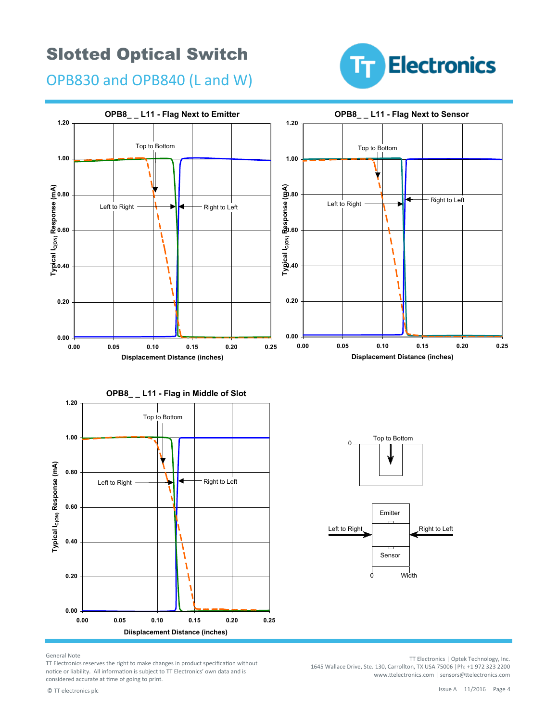OPB830 and OPB840 (L and W)





General Note

TT Electronics reserves the right to make changes in product specification without notice or liability. All information is subject to TT Electronics' own data and is considered accurate at time of going to print.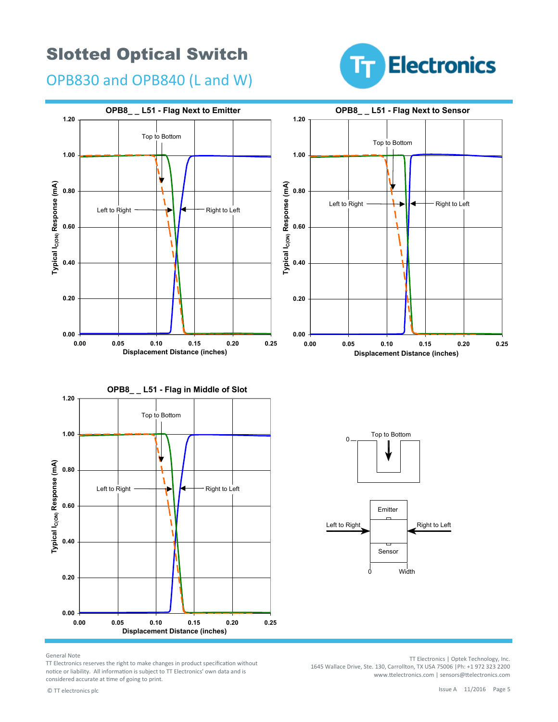**Electronics** Īт.

OPB830 and OPB840 (L and W)



General Note

TT Electronics reserves the right to make changes in product specification without notice or liability. All information is subject to TT Electronics' own data and is considered accurate at time of going to print.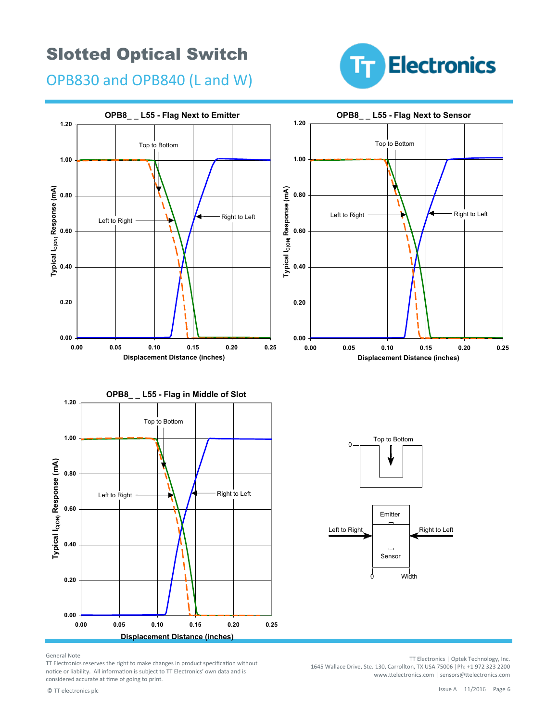**Electronics** Fт

OPB830 and OPB840 (L and W)



General Note

TT Electronics reserves the right to make changes in product specification without notice or liability. All information is subject to TT Electronics' own data and is considered accurate at time of going to print.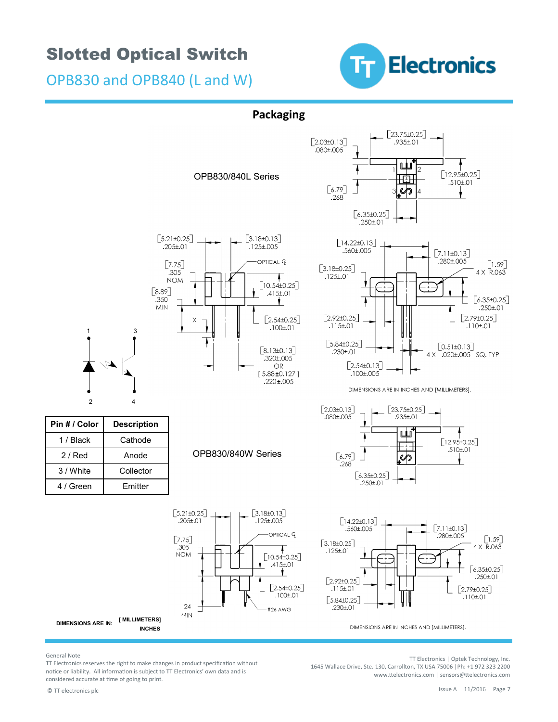OPB830 and OPB840 (L and W)



#### **Packaging**



General Note

TT Electronics reserves the right to make changes in product specification without notice or liability. All information is subject to TT Electronics' own data and is considered accurate at time of going to print.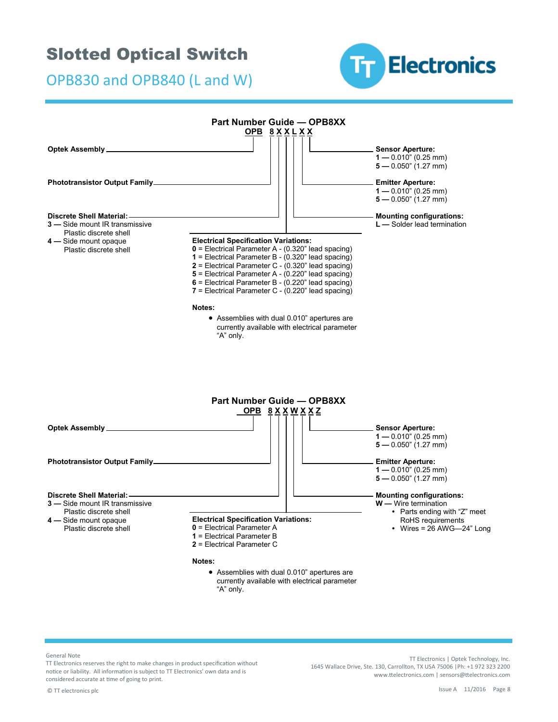OPB830 and OPB840 (L and W)





General Note

TT Electronics reserves the right to make changes in product specification without notice or liability. All information is subject to TT Electronics' own data and is considered accurate at time of going to print.